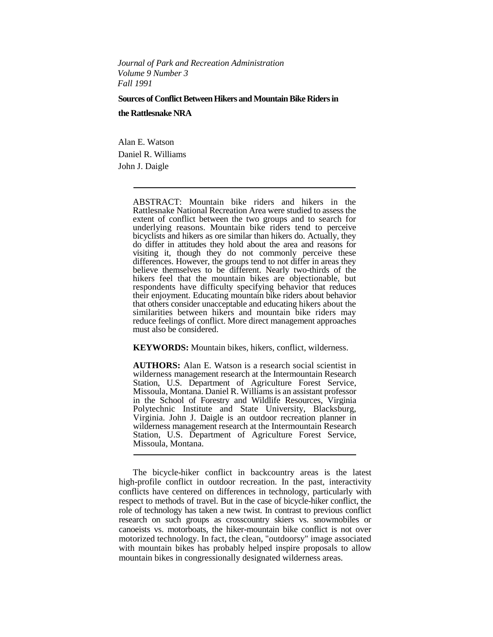*Journal of Park and Recreation Administration Volume 9 Number 3 Fall 1991*

**Sources of Conflict Between Hikers and Mountain Bike Riders in the Rattlesnake NRA**

Alan E. Watson Daniel R. Williams John J. Daigle

> ABSTRACT: Mountain bike riders and hikers in the Rattlesnake National Recreation Area were studied to assess the extent of conflict between the two groups and to search for underlying reasons. Mountain bike riders tend to perceive bicyclists and hikers as ore similar than hikers do. Actually, they do differ in attitudes they hold about the area and reasons for visiting it, though they do not commonly perceive these differences. However, the groups tend to not differ in areas they believe themselves to be different. Nearly two-thirds of the hikers feel that the mountain bikes are objectionable, but respondents have difficulty specifying behavior that reduces their enjoyment. Educating mountain bike riders about behavior that others consider unacceptable and educating hikers about the similarities between hikers and mountain bike riders may reduce feelings of conflict. More direct management approaches must also be considered.

**KEYWORDS:** Mountain bikes, hikers, conflict, wilderness.

**AUTHORS:** Alan E. Watson is a research social scientist in wilderness management research at the Intermountain Research Station, U.S. Department of Agriculture Forest Service, Missoula, Montana. Daniel R. Williams is an assistant professor in the School of Forestry and Wildlife Resources, Virginia Polytechnic Institute and State University, Blacksburg, Virginia. John J. Daigle is an outdoor recreation planner in wilderness management research at the Intermountain Research Station, U.S. Department of Agriculture Forest Service, Missoula, Montana.

The bicycle-hiker conflict in backcountry areas is the latest high-profile conflict in outdoor recreation. In the past, interactivity conflicts have centered on differences in technology, particularly with respect to methods of travel. But in the case of bicycle-hiker conflict, the role of technology has taken a new twist. In contrast to previous conflict research on such groups as crosscountry skiers vs. snowmobiles or canoeists vs. motorboats, the hiker-mountain bike conflict is not over motorized technology. In fact, the clean, "outdoorsy" image associated with mountain bikes has probably helped inspire proposals to allow mountain bikes in congressionally designated wilderness areas.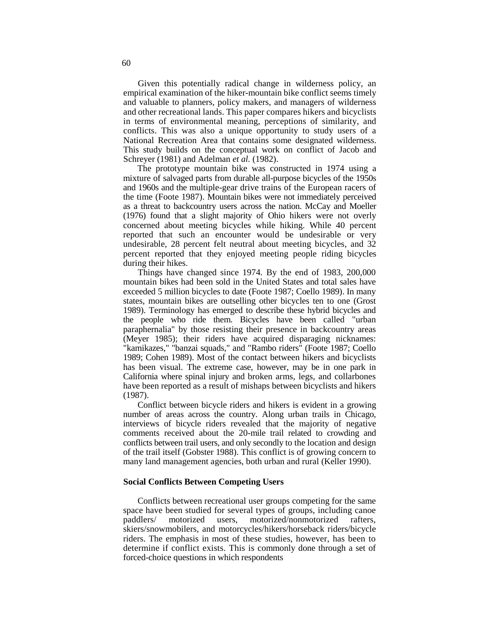Given this potentially radical change in wilderness policy, an empirical examination of the hiker-mountain bike conflict seems timely and valuable to planners, policy makers, and managers of wilderness and other recreational lands. This paper compares hikers and bicyclists in terms of environmental meaning, perceptions of similarity, and conflicts. This was also a unique opportunity to study users of a National Recreation Area that contains some designated wilderness. This study builds on the conceptual work on conflict of Jacob and Schreyer (1981) and Adelman *et al.* (1982).

The prototype mountain bike was constructed in 1974 using a mixture of salvaged parts from durable all-purpose bicycles of the 1950s and 1960s and the multiple-gear drive trains of the European racers of the time (Foote 1987). Mountain bikes were not immediately perceived as a threat to backcountry users across the nation. McCay and Moeller (1976) found that a slight majority of Ohio hikers were not overly concerned about meeting bicycles while hiking. While 40 percent reported that such an encounter would be undesirable or very undesirable, 28 percent felt neutral about meeting bicycles, and 32 percent reported that they enjoyed meeting people riding bicycles during their hikes.

Things have changed since 1974. By the end of 1983, 200,000 mountain bikes had been sold in the United States and total sales have exceeded 5 million bicycles to date (Foote 1987; Coello 1989). In many states, mountain bikes are outselling other bicycles ten to one (Grost 1989). Terminology has emerged to describe these hybrid bicycles and the people who ride them. Bicycles have been called "urban paraphernalia" by those resisting their presence in backcountry areas (Meyer 1985); their riders have acquired disparaging nicknames: "kamikazes," "banzai squads," and "Rambo riders" (Foote 1987; Coello 1989; Cohen 1989). Most of the contact between hikers and bicyclists has been visual. The extreme case, however, may be in one park in California where spinal injury and broken arms, legs, and collarbones have been reported as a result of mishaps between bicyclists and hikers (1987).

Conflict between bicycle riders and hikers is evident in a growing number of areas across the country. Along urban trails in Chicago, interviews of bicycle riders revealed that the majority of negative comments received about the 20-mile trail related to crowding and conflicts between trail users, and only secondly to the location and design of the trail itself (Gobster 1988). This conflict is of growing concern to many land management agencies, both urban and rural (Keller 1990).

# **Social Conflicts Between Competing Users**

Conflicts between recreational user groups competing for the same space have been studied for several types of groups, including canoe paddlers/ motorized users, motorized/nonmotorized rafters. motorized users, motorized/nonmotorized rafters, skiers/snowmobilers, and motorcycles/hikers/horseback riders/bicycle riders. The emphasis in most of these studies, however, has been to determine if conflict exists. This is commonly done through a set of forced-choice questions in which respondents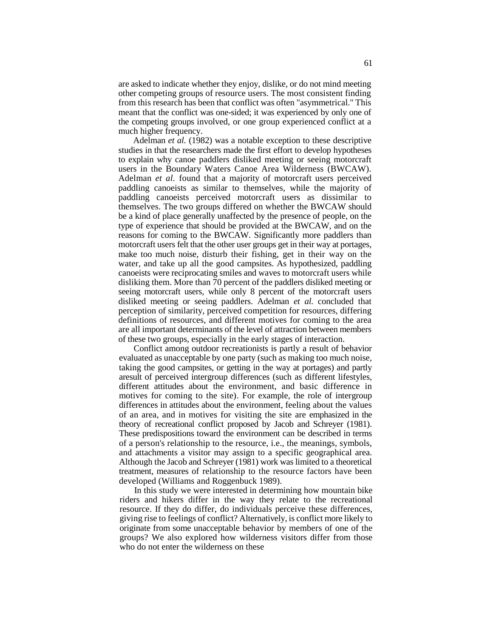are asked to indicate whether they enjoy, dislike, or do not mind meeting other competing groups of resource users. The most consistent finding from this research has been that conflict was often "asymmetrical." This meant that the conflict was one-sided; it was experienced by only one of the competing groups involved, or one group experienced conflict at a much higher frequency.

Adelman *et al.* (1982) was a notable exception to these descriptive studies in that the researchers made the first effort to develop hypotheses to explain why canoe paddlers disliked meeting or seeing motorcraft users in the Boundary Waters Canoe Area Wilderness (BWCAW). Adelman *et al.* found that a majority of motorcraft users perceived paddling canoeists as similar to themselves, while the majority of paddling canoeists perceived motorcraft users as dissimilar to themselves. The two groups differed on whether the BWCAW should be a kind of place generally unaffected by the presence of people, on the type of experience that should be provided at the BWCAW, and on the reasons for coming to the BWCAW. Significantly more paddlers than motorcraft users felt that the other user groups get in their way at portages, make too much noise, disturb their fishing, get in their way on the water, and take up all the good campsites. As hypothesized, paddling canoeists were reciprocating smiles and waves to motorcraft users while disliking them. More than 70 percent of the paddlers disliked meeting or seeing motorcraft users, while only 8 percent of the motorcraft users disliked meeting or seeing paddlers. Adelman *et al.* concluded that perception of similarity, perceived competition for resources, differing definitions of resources, and different motives for coming to the area are all important determinants of the level of attraction between members of these two groups, especially in the early stages of interaction.

Conflict among outdoor recreationists is partly a result of behavior evaluated as unacceptable by one party (such as making too much noise, taking the good campsites, or getting in the way at portages) and partly aresult of perceived intergroup differences (such as different lifestyles, different attitudes about the environment, and basic difference in motives for coming to the site). For example, the role of intergroup differences in attitudes about the environment, feeling about the values of an area, and in motives for visiting the site are emphasized in the theory of recreational conflict proposed by Jacob and Schreyer (1981). These predispositions toward the environment can be described in terms of a person's relationship to the resource, i.e., the meanings, symbols, and attachments a visitor may assign to a specific geographical area. Although the Jacob and Schreyer (1981) work was limited to a theoretical treatment, measures of relationship to the resource factors have been developed (Williams and Roggenbuck 1989).

In this study we were interested in determining how mountain bike riders and hikers differ in the way they relate to the recreational resource. If they do differ, do individuals perceive these differences, giving rise to feelings of conflict? Alternatively, is conflict more likely to originate from some unacceptable behavior by members of one of the groups? We also explored how wilderness visitors differ from those who do not enter the wilderness on these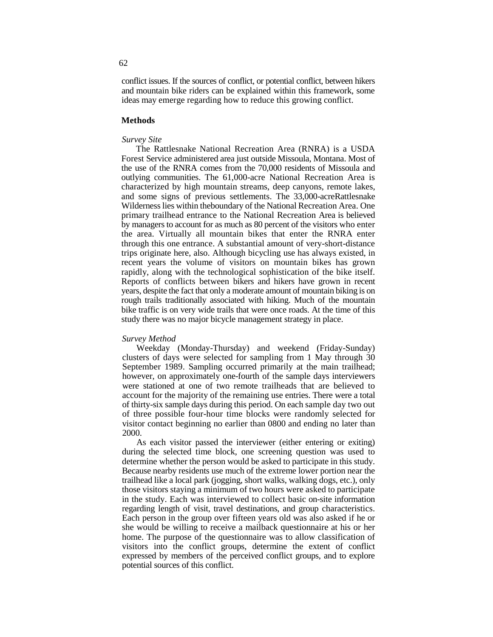conflict issues. If the sources of conflict, or potential conflict, between hikers and mountain bike riders can be explained within this framework, some ideas may emerge regarding how to reduce this growing conflict.

# **Methods**

### *Survey Site*

The Rattlesnake National Recreation Area (RNRA) is a USDA Forest Service administered area just outside Missoula, Montana. Most of the use of the RNRA comes from the 70,000 residents of Missoula and outlying communities. The 61,000-acre National Recreation Area is characterized by high mountain streams, deep canyons, remote lakes, and some signs of previous settlements. The 33,000-acreRattlesnake Wilderness lies within theboundary of the National Recreation Area. One primary trailhead entrance to the National Recreation Area is believed by managers to account for as much as 80 percent of the visitors who enter the area. Virtually all mountain bikes that enter the RNRA enter through this one entrance. A substantial amount of very-short-distance trips originate here, also. Although bicycling use has always existed, in recent years the volume of visitors on mountain bikes has grown rapidly, along with the technological sophistication of the bike itself. Reports of conflicts between bikers and hikers have grown in recent years, despite the fact that only a moderate amount of mountain biking is on rough trails traditionally associated with hiking. Much of the mountain bike traffic is on very wide trails that were once roads. At the time of this study there was no major bicycle management strategy in place.

#### *Survey Method*

Weekday (Monday-Thursday) and weekend (Friday-Sunday) clusters of days were selected for sampling from 1 May through 30 September 1989. Sampling occurred primarily at the main trailhead; however, on approximately one-fourth of the sample days interviewers were stationed at one of two remote trailheads that are believed to account for the majority of the remaining use entries. There were a total of thirty-six sample days during this period. On each sample day two out of three possible four-hour time blocks were randomly selected for visitor contact beginning no earlier than 0800 and ending no later than 2000.

As each visitor passed the interviewer (either entering or exiting) during the selected time block, one screening question was used to determine whether the person would be asked to participate in this study. Because nearby residents use much of the extreme lower portion near the trailhead like a local park (jogging, short walks, walking dogs, etc.), only those visitors staying a minimum of two hours were asked to participate in the study. Each was interviewed to collect basic on-site information regarding length of visit, travel destinations, and group characteristics. Each person in the group over fifteen years old was also asked if he or she would be willing to receive a mailback questionnaire at his or her home. The purpose of the questionnaire was to allow classification of visitors into the conflict groups, determine the extent of conflict expressed by members of the perceived conflict groups, and to explore potential sources of this conflict.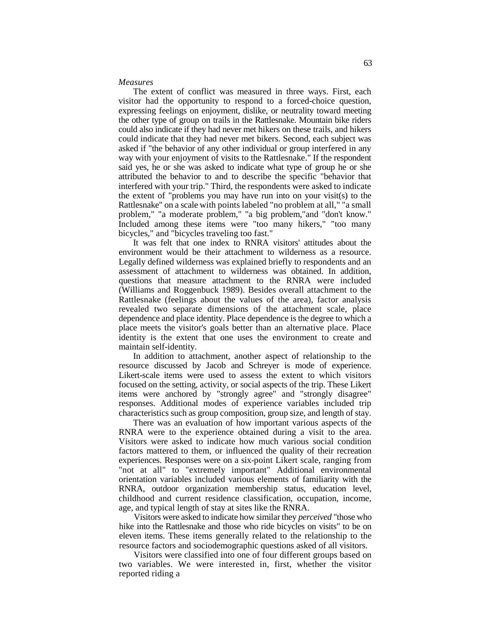#### *Measures*

The extent of conflict was measured in three ways. First, each visitor had the opportunity to respond to a forced-choice question, expressing feelings on enjoyment, dislike, or neutrality toward meeting the other type of group on trails in the Rattlesnake. Mountain bike riders could also indicate if they had never met hikers on these trails, and hikers could indicate that they had never met bikers. Second, each subject was asked if "the behavior of any other individual or group interfered in any way with your enjoyment of visits to the Rattlesnake." If the respondent said yes, he or she was asked to indicate what type of group he or she attributed the behavior to and to describe the specific "behavior that interfered with your trip." Third, the respondents were asked to indicate the extent of "problems you may have run into on your visit(s) to the Rattlesnake" on a scale with points labeled "no problem at all," "a small problem," "a moderate problem," "a big problem,"and "don't know." Included among these items were "too many hikers," "too many bicycles," and "bicycles traveling too fast."

It was felt that one index to RNRA visitors' attitudes about the environment would be their attachment to wilderness as a resource. Legally defined wilderness was explained briefly to respondents and an assessment of attachment to wilderness was obtained. In addition, questions that measure attachment to the RNRA were included (Williams and Roggenbuck 1989). Besides overall attachment to the Rattlesnake (feelings about the values of the area), factor analysis revealed two separate dimensions of the attachment scale, place dependence and place identity. Place dependence is the degree to which a place meets the visitor's goals better than an alternative place. Place identity is the extent that one uses the environment to create and maintain self-identity.

In addition to attachment, another aspect of relationship to the resource discussed by Jacob and Schreyer is mode of experience. Likert-scale items were used to assess the extent to which visitors focused on the setting, activity, or social aspects of the trip. These Likert items were anchored by "strongly agree" and "strongly disagree" responses. Additional modes of experience variables included trip characteristics such as group composition, group size, and length of stay.

There was an evaluation of how important various aspects of the RNRA were to the experience obtained during a visit to the area. Visitors were asked to indicate how much various social condition factors mattered to them, or influenced the quality of their recreation experiences. Responses were on a six-point Likert scale, ranging from "not at all" to "extremely important" Additional environmental orientation variables included various elements of familiarity with the RNRA, outdoor organization membership status, education level, childhood and current residence classification, occupation, income, age, and typical length of stay at sites like the RNRA.

Visitors were asked to indicate how similar they *perceived* "those who hike into the Rattlesnake and those who ride bicycles on visits" to be on eleven items. These items generally related to the relationship to the resource factors and sociodemographic questions asked of all visitors.

Visitors were classified into one of four different groups based on two variables. We were interested in, first, whether the visitor reported riding a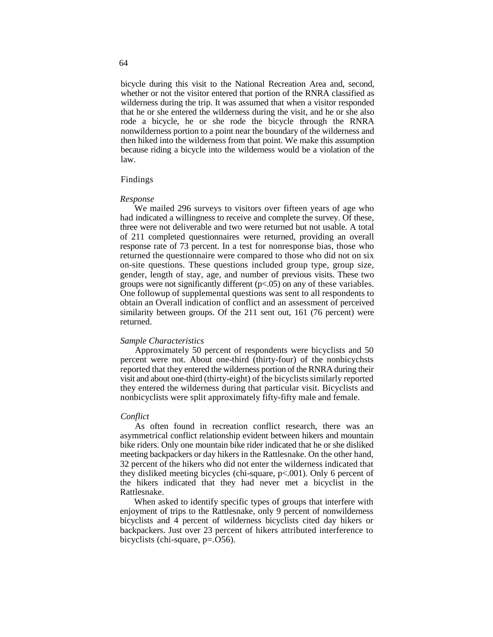bicycle during this visit to the National Recreation Area and, second, whether or not the visitor entered that portion of the RNRA classified as wilderness during the trip. It was assumed that when a visitor responded that he or she entered the wilderness during the visit, and he or she also rode a bicycle, he or she rode the bicycle through the RNRA nonwilderness portion to a point near the boundary of the wilderness and then hiked into the wilderness from that point. We make this assumption because riding a bicycle into the wilderness would be a violation of the law.

### Findings

### *Response*

We mailed 296 surveys to visitors over fifteen years of age who had indicated a willingness to receive and complete the survey. Of these, three were not deliverable and two were returned but not usable. A total of 211 completed questionnaires were returned, providing an overall response rate of 73 percent. In a test for nonresponse bias, those who returned the questionnaire were compared to those who did not on six on-site questions. These questions included group type, group size, gender, length of stay, age, and number of previous visits. These two groups were not significantly different  $(p<0.05)$  on any of these variables. One followup of supplemental questions was sent to all respondents to obtain an Overall indication of conflict and an assessment of perceived similarity between groups. Of the 211 sent out, 161 (76 percent) were returned.

### *Sample Characteristics*

Approximately 50 percent of respondents were bicyclists and 50 percent were not. About one-third (thirty-four) of the nonbicychsts reported that they entered the wilderness portion of the RNRA during their visit and about one-third (thirty-eight) of the bicyclists similarly reported they entered the wilderness during that particular visit. Bicyclists and nonbicyclists were split approximately fifty-fifty male and female.

### *Conflict*

As often found in recreation conflict research, there was an asymmetrical conflict relationship evident between hikers and mountain bike riders. Only one mountain bike rider indicated that he or she disliked meeting backpackers or day hikers in the Rattlesnake. On the other hand, 32 percent of the hikers who did not enter the wilderness indicated that they disliked meeting bicycles (chi-square, p<.001). Only 6 percent of the hikers indicated that they had never met a bicyclist in the Rattlesnake.

When asked to identify specific types of groups that interfere with enjoyment of trips to the Rattlesnake, only 9 percent of nonwilderness bicyclists and 4 percent of wilderness bicyclists cited day hikers or backpackers. Just over 23 percent of hikers attributed interference to bicyclists (chi-square, p=.O56).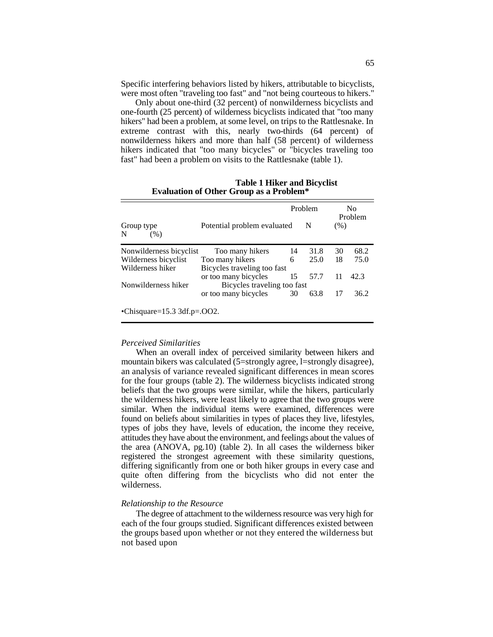Specific interfering behaviors listed by hikers, attributable to bicyclists, were most often "traveling too fast" and "not being courteous to hikers."

Only about one-third (32 percent) of nonwilderness bicyclists and one-fourth (25 percent) of wilderness bicyclists indicated that "too many hikers" had been a problem, at some level, on trips to the Rattlesnake. In extreme contrast with this, nearly two-thirds (64 percent) of nonwilderness hikers and more than half (58 percent) of wilderness hikers indicated that "too many bicycles" or "bicycles traveling too fast" had been a problem on visits to the Rattlesnake (table 1).

**Table 1 Hiker and Bicyclist Evaluation of Other Group as a Problem\***

|                         |                             |    | Problem |      | No<br>Problem |  |
|-------------------------|-----------------------------|----|---------|------|---------------|--|
| Group type<br>N<br>(% ) | Potential problem evaluated |    | N       | (% ) |               |  |
| Nonwilderness bicyclist | Too many hikers             | 14 | 31.8    | 30   | 68.2          |  |
| Wilderness bicyclist    | Too many hikers             | 6  | 25.0    | 18   | 75.0          |  |
| Wilderness hiker        | Bicycles traveling too fast |    |         |      |               |  |
|                         | or too many bicycles        | 15 | 57.7    | 11   | 42.3          |  |
| Nonwilderness hiker     | Bicycles traveling too fast |    |         |      |               |  |
|                         | or too many bicycles        | 30 | 63.8    | 17   | 36.2          |  |

# *Perceived Similarities*

When an overall index of perceived similarity between hikers and mountain bikers was calculated (5=strongly agree, l=strongly disagree), an analysis of variance revealed significant differences in mean scores for the four groups (table 2). The wilderness bicyclists indicated strong beliefs that the two groups were similar, while the hikers, particularly the wilderness hikers, were least likely to agree that the two groups were similar. When the individual items were examined, differences were found on beliefs about similarities in types of places they live, lifestyles, types of jobs they have, levels of education, the income they receive, attitudes they have about the environment, and feelings about the values of the area (ANOVA, pg.10) (table 2). In all cases the wilderness biker registered the strongest agreement with these similarity questions, differing significantly from one or both hiker groups in every case and quite often differing from the bicyclists who did not enter the wilderness.

### *Relationship to the Resource*

The degree of attachment to the wilderness resource was very high for each of the four groups studied. Significant differences existed between the groups based upon whether or not they entered the wilderness but not based upon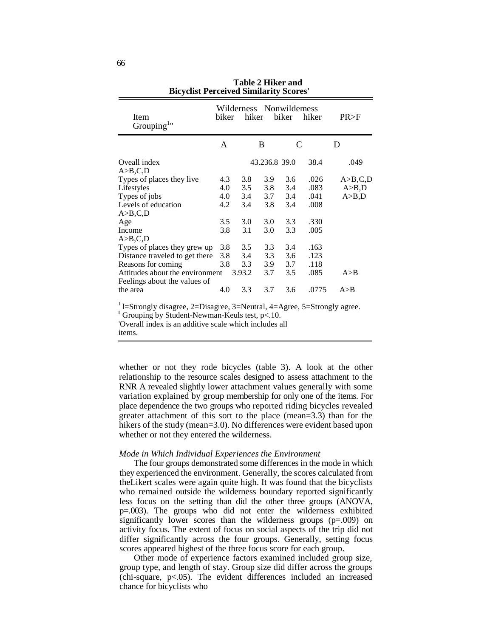| Item<br>Grouping                                                                                                                                                               | biker                                  | Wilderness Nonwildemess<br>hiker       |                                        | biker                                  | hiker                                        | PR > F                      |
|--------------------------------------------------------------------------------------------------------------------------------------------------------------------------------|----------------------------------------|----------------------------------------|----------------------------------------|----------------------------------------|----------------------------------------------|-----------------------------|
|                                                                                                                                                                                | $\mathsf{A}$                           |                                        | B                                      | $\mathcal{C}_{\mathcal{C}}$            |                                              | D                           |
| Oveall index<br>A>B,C,D                                                                                                                                                        |                                        |                                        | 43.236.8 39.0                          |                                        | 38.4                                         | .049                        |
| Types of places they live<br>Lifestyles<br>Types of jobs<br>Levels of education<br>A>B,C,D<br>Age<br>Income                                                                    | 4.3<br>4.0<br>4.0<br>4.2<br>3.5<br>3.8 | 3.8<br>3.5<br>3.4<br>3.4<br>3.0<br>3.1 | 3.9<br>3.8<br>3.7<br>3.8<br>3.0<br>3.0 | 3.6<br>3.4<br>3.4<br>3.4<br>3.3<br>3.3 | .026<br>.083<br>.041<br>.008<br>.330<br>.005 | A>B,C,D<br>A>B,D<br>A > B,D |
| A>B,C,D<br>Types of places they grew up<br>Distance traveled to get there<br>Reasons for coming<br>Attitudes about the environment<br>Feelings about the values of<br>the area | 3.8<br>3.8<br>3.8<br>4.0               | 3.5<br>3.4<br>3.3<br>3.93.2<br>3.3     | 3.3<br>3.3<br>3.9<br>3.7<br>3.7        | 3.4<br>3.6<br>3.7<br>3.5<br>3.6        | .163<br>.123<br>.118<br>.085<br>.0775        | A > B<br>A > B              |

**Table 2 Hiker and Bicyclist Perceived Similarity Scores'**

<sup>I</sup> l=Strongly disagree, 2=Disagree, 3=Neutral, 4=Agree, 5=Strongly agree.

Grouping by Student-Newman-Keuls test,  $p<.10$ .

'Overall index is an additive scale which includes all

items.

whether or not they rode bicycles (table 3). A look at the other relationship to the resource scales designed to assess attachment to the RNR A revealed slightly lower attachment values generally with some variation explained by group membership for only one of the items. For place dependence the two groups who reported riding bicycles revealed greater attachment of this sort to the place (mean=3.3) than for the hikers of the study (mean=3.0). No differences were evident based upon whether or not they entered the wilderness.

# *Mode in Which Individual Experiences the Environment*

The four groups demonstrated some differences in the mode in which they experienced the environment. Generally, the scores calculated from theLikert scales were again quite high. It was found that the bicyclists who remained outside the wilderness boundary reported significantly less focus on the setting than did the other three groups (ANOVA, p=.003). The groups who did not enter the wilderness exhibited significantly lower scores than the wilderness groups (p=.009) on activity focus. The extent of focus on social aspects of the trip did not differ significantly across the four groups. Generally, setting focus scores appeared highest of the three focus score for each group.

Other mode of experience factors examined included group size, group type, and length of stay. Group size did differ across the groups (chi-square, p<.05). The evident differences included an increased chance for bicyclists who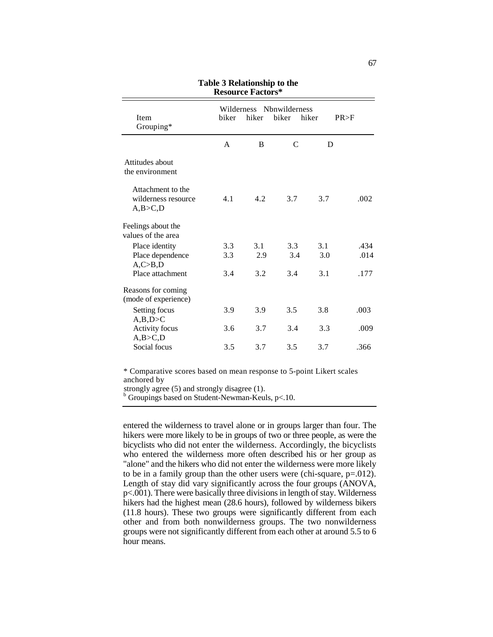| Item<br>Grouping*                                   | Wilderness<br>biker | hiker      | Nbnwilderness<br>biker | hiker      | PR > F       |
|-----------------------------------------------------|---------------------|------------|------------------------|------------|--------------|
|                                                     | $\mathsf{A}$        | B          | $\mathcal{C}$          | D          |              |
| Attitudes about<br>the environment                  |                     |            |                        |            |              |
| Attachment to the<br>wilderness resource<br>A,B>C,D | 4.1                 | 4.2        | 3.7                    | 3.7        | .002         |
| Feelings about the<br>values of the area            |                     |            |                        |            |              |
| Place identity<br>Place dependence                  | 3.3<br>3.3          | 3.1<br>2.9 | 3.3<br>3.4             | 3.1<br>3.0 | .434<br>.014 |
| A, C > B, D<br>Place attachment                     | 3.4                 | 3.2        | 3.4                    | 3.1        | .177         |
| Reasons for coming<br>(mode of experience)          |                     |            |                        |            |              |
| Setting focus<br>A,B,D>C                            | 3.9                 | 3.9        | 3.5                    | 3.8        | .003         |
| Activity focus<br>A,B>C,D                           | 3.6                 | 3.7        | 3.4                    | 3.3        | .009         |
| Social focus                                        | 3.5                 | 3.7        | 3.5                    | 3.7        | .366         |

| Table 3 Relationship to the |
|-----------------------------|
| <b>Resource Factors*</b>    |

\* Comparative scores based on mean response to 5-point Likert scales anchored by

strongly agree (5) and strongly disagree (1).

 $b$  Groupings based on Student-Newman-Keuls, p<.10.

entered the wilderness to travel alone or in groups larger than four. The hikers were more likely to be in groups of two or three people, as were the bicyclists who did not enter the wilderness. Accordingly, the bicyclists who entered the wilderness more often described his or her group as "alone" and the hikers who did not enter the wilderness were more likely to be in a family group than the other users were (chi-square, p=.012). Length of stay did vary significantly across the four groups (ANOVA, p<.001). There were basically three divisions in length of stay. Wilderness hikers had the highest mean (28.6 hours), followed by wilderness bikers (11.8 hours). These two groups were significantly different from each other and from both nonwilderness groups. The two nonwilderness groups were not significantly different from each other at around 5.5 to 6 hour means.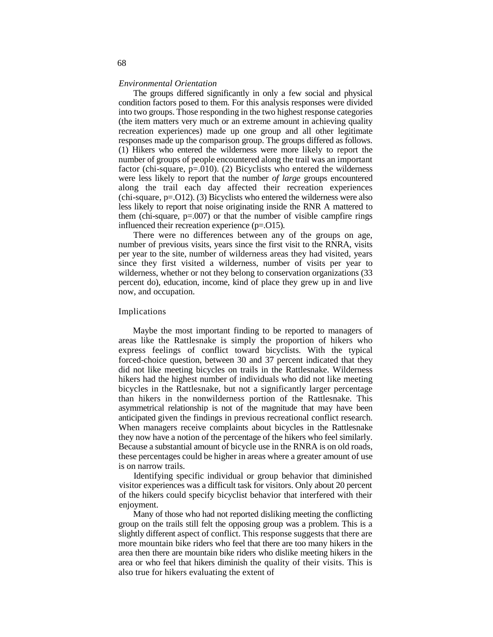### *Environmental Orientation*

The groups differed significantly in only a few social and physical condition factors posed to them. For this analysis responses were divided into two groups. Those responding in the two highest response categories (the item matters very much or an extreme amount in achieving quality recreation experiences) made up one group and all other legitimate responses made up the comparison group. The groups differed as follows. (1) Hikers who entered the wilderness were more likely to report the number of groups of people encountered along the trail was an important factor (chi-square,  $p=010$ ). (2) Bicyclists who entered the wilderness were less likely to report that the number *of large* groups encountered along the trail each day affected their recreation experiences (chi-square,  $p=012$ ). (3) Bicyclists who entered the wilderness were also less likely to report that noise originating inside the RNR A mattered to them (chi-square,  $p=0.007$ ) or that the number of visible campfire rings influenced their recreation experience (p=.O15).

There were no differences between any of the groups on age, number of previous visits, years since the first visit to the RNRA, visits per year to the site, number of wilderness areas they had visited, years since they first visited a wilderness, number of visits per year to wilderness, whether or not they belong to conservation organizations (33 percent do), education, income, kind of place they grew up in and live now, and occupation.

### Implications

Maybe the most important finding to be reported to managers of areas like the Rattlesnake is simply the proportion of hikers who express feelings of conflict toward bicyclists. With the typical forced-choice question, between 30 and 37 percent indicated that they did not like meeting bicycles on trails in the Rattlesnake. Wilderness hikers had the highest number of individuals who did not like meeting bicycles in the Rattlesnake, but not a significantly larger percentage than hikers in the nonwilderness portion of the Rattlesnake. This asymmetrical relationship is not of the magnitude that may have been anticipated given the findings in previous recreational conflict research. When managers receive complaints about bicycles in the Rattlesnake they now have a notion of the percentage of the hikers who feel similarly. Because a substantial amount of bicycle use in the RNRA is on old roads, these percentages could be higher in areas where a greater amount of use is on narrow trails.

Identifying specific individual or group behavior that diminished visitor experiences was a difficult task for visitors. Only about 20 percent of the hikers could specify bicyclist behavior that interfered with their enjoyment.

Many of those who had not reported disliking meeting the conflicting group on the trails still felt the opposing group was a problem. This is a slightly different aspect of conflict. This response suggests that there are more mountain bike riders who feel that there are too many hikers in the area then there are mountain bike riders who dislike meeting hikers in the area or who feel that hikers diminish the quality of their visits. This is also true for hikers evaluating the extent of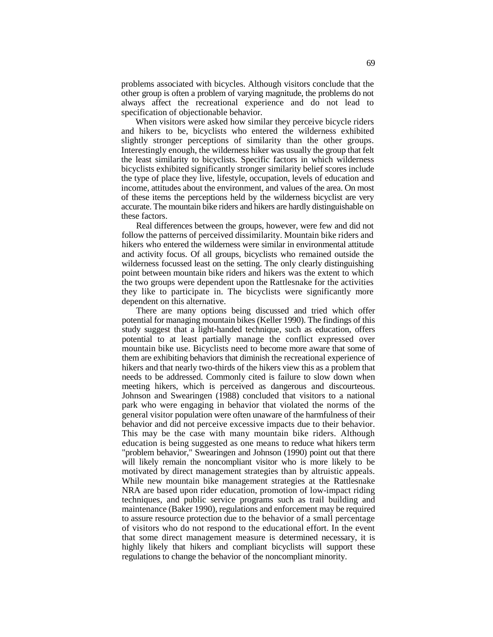problems associated with bicycles. Although visitors conclude that the other group is often a problem of varying magnitude, the problems do not always affect the recreational experience and do not lead to specification of objectionable behavior.

When visitors were asked how similar they perceive bicycle riders and hikers to be, bicyclists who entered the wilderness exhibited slightly stronger perceptions of similarity than the other groups. Interestingly enough, the wilderness hiker was usually the group that felt the least similarity to bicyclists. Specific factors in which wilderness bicyclists exhibited significantly stronger similarity belief scores include the type of place they live, lifestyle, occupation, levels of education and income, attitudes about the environment, and values of the area. On most of these items the perceptions held by the wilderness bicyclist are very accurate. The mountain bike riders and hikers are hardly distinguishable on these factors.

Real differences between the groups, however, were few and did not follow the patterns of perceived dissimilarity. Mountain bike riders and hikers who entered the wilderness were similar in environmental attitude and activity focus. Of all groups, bicyclists who remained outside the wilderness focussed least on the setting. The only clearly distinguishing point between mountain bike riders and hikers was the extent to which the two groups were dependent upon the Rattlesnake for the activities they like to participate in. The bicyclists were significantly more dependent on this alternative.

There are many options being discussed and tried which offer potential for managing mountain bikes (Keller 1990). The findings of this study suggest that a light-handed technique, such as education, offers potential to at least partially manage the conflict expressed over mountain bike use. Bicyclists need to become more aware that some of them are exhibiting behaviors that diminish the recreational experience of hikers and that nearly two-thirds of the hikers view this as a problem that needs to be addressed. Commonly cited is failure to slow down when meeting hikers, which is perceived as dangerous and discourteous. Johnson and Swearingen (1988) concluded that visitors to a national park who were engaging in behavior that violated the norms of the general visitor population were often unaware of the harmfulness of their behavior and did not perceive excessive impacts due to their behavior. This may be the case with many mountain bike riders. Although education is being suggested as one means to reduce what hikers term "problem behavior," Swearingen and Johnson (1990) point out that there will likely remain the noncompliant visitor who is more likely to be motivated by direct management strategies than by altruistic appeals. While new mountain bike management strategies at the Rattlesnake NRA are based upon rider education, promotion of low-impact riding techniques, and public service programs such as trail building and maintenance (Baker 1990), regulations and enforcement may be required to assure resource protection due to the behavior of a small percentage of visitors who do not respond to the educational effort. In the event that some direct management measure is determined necessary, it is highly likely that hikers and compliant bicyclists will support these regulations to change the behavior of the noncompliant minority.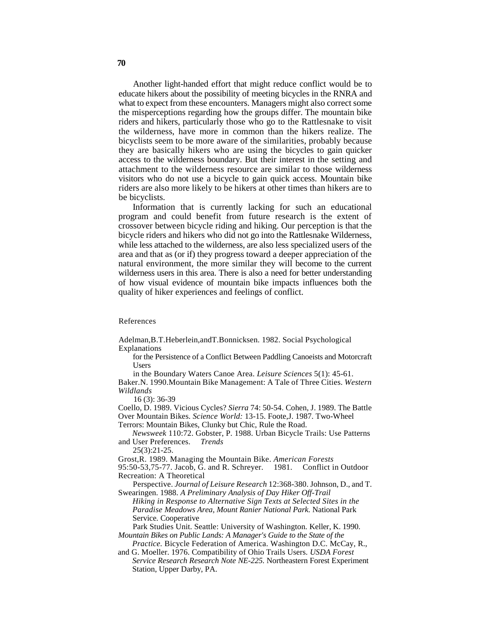Another light-handed effort that might reduce conflict would be to educate hikers about the possibility of meeting bicycles in the RNRA and what to expect from these encounters. Managers might also correct some the misperceptions regarding how the groups differ. The mountain bike riders and hikers, particularly those who go to the Rattlesnake to visit the wilderness, have more in common than the hikers realize. The bicyclists seem to be more aware of the similarities, probably because they are basically hikers who are using the bicycles to gain quicker access to the wilderness boundary. But their interest in the setting and attachment to the wilderness resource are similar to those wilderness visitors who do not use a bicycle to gain quick access. Mountain bike riders are also more likely to be hikers at other times than hikers are to be bicyclists.

Information that is currently lacking for such an educational program and could benefit from future research is the extent of crossover between bicycle riding and hiking. Our perception is that the bicycle riders and hikers who did not go into the Rattlesnake Wilderness, while less attached to the wilderness, are also less specialized users of the area and that as (or if) they progress toward a deeper appreciation of the natural environment, the more similar they will become to the current wilderness users in this area. There is also a need for better understanding of how visual evidence of mountain bike impacts influences both the quality of hiker experiences and feelings of conflict.

References

Adelman,B.T.Heberlein,andT.Bonnicksen. 1982. Social Psychological Explanations

for the Persistence of a Conflict Between Paddling Canoeists and Motorcraft Users

in the Boundary Waters Canoe Area. *Leisure Sciences* 5(1): 45-61. Baker.N. 1990.Mountain Bike Management: A Tale of Three Cities. *Western Wildlands*

16 (3): 36-39

Coello, D. 1989. Vicious Cycles? *Sierra* 74: 50-54. Cohen, J. 1989. The Battle Over Mountain Bikes. *Science World:* 13-15. Foote,J. 1987. Two-Wheel Terrors: Mountain Bikes, Clunky but Chic, Rule the Road.

*Newsweek* 110:72. Gobster, P. 1988. Urban Bicycle Trails: Use Patterns

and User Preferences. *Trends* 25(3):21-25.

Grost,R. 1989. Managing the Mountain Bike. *American Forests*  95:50-53,75-77. Jacob, G. and R. Schreyer. 1981. Conflict in Outdoor Recreation: A Theoretical

Perspective. *Journal of Leisure Research* 12:368-380. Johnson, D., and T. Swearingen. 1988. *A Preliminary Analysis of Day Hiker Off-Trail*

*Hiking in Response to Alternative Sign Texts at Selected Sites in the Paradise Meadows Area, Mount Ranier National Park.* National Park Service. Cooperative

Park Studies Unit. Seattle: University of Washington. Keller, K. 1990. *Mountain Bikes on Public Lands: A Manager's Guide to the State of the*

*Practice.* Bicycle Federation of America. Washington D.C. McCay, R., and G. Moeller. 1976. Compatibility of Ohio Trails Users. *USDA Forest*

*Service Research Research Note NE-225.* Northeastern Forest Experiment Station, Upper Darby, PA.